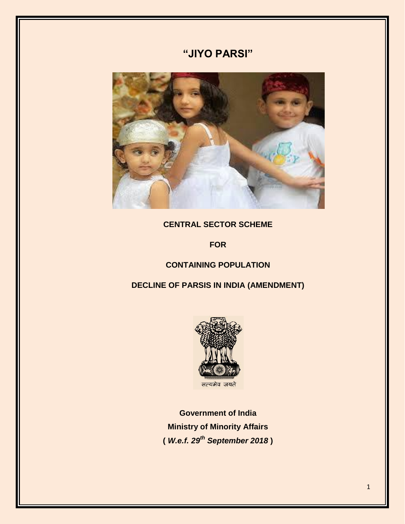# **"JIYO PARSI"**



## **CENTRAL SECTOR SCHEME**

**FOR**

## **CONTAINING POPULATION**

**DECLINE OF PARSIS IN INDIA (AMENDMENT)**



**Government of India Ministry of Minority Affairs (** *W.e.f. 29th September 2018* **)**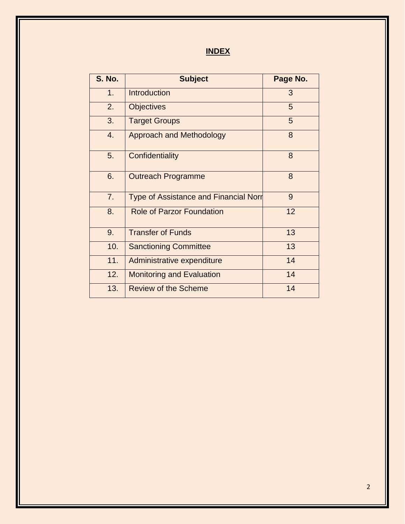**INDEX**

| <b>S. No.</b> | <b>Subject</b>                               | Page No. |
|---------------|----------------------------------------------|----------|
| 1.            | <b>Introduction</b>                          | 3        |
| 2.            | <b>Objectives</b>                            | 5        |
| 3.            | <b>Target Groups</b>                         | 5        |
| 4.            | <b>Approach and Methodology</b>              | 8        |
| 5.            | Confidentiality                              | 8        |
| 6.            | <b>Outreach Programme</b>                    | 8        |
| 7.            | <b>Type of Assistance and Financial Norr</b> | 9        |
| 8.            | <b>Role of Parzor Foundation</b>             | 12       |
| 9.            | <b>Transfer of Funds</b>                     | 13       |
| 10.           | <b>Sanctioning Committee</b>                 | 13       |
| 11.           | Administrative expenditure                   | 14       |
| 12.           | <b>Monitoring and Evaluation</b>             | 14       |
| 13.           | <b>Review of the Scheme</b>                  | 14       |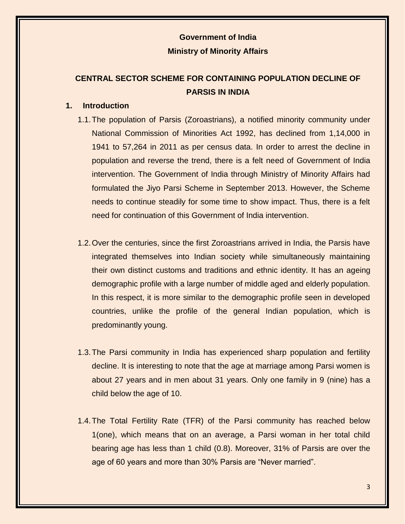## **Government of India Ministry of Minority Affairs**

## **CENTRAL SECTOR SCHEME FOR CONTAINING POPULATION DECLINE OF PARSIS IN INDIA**

## **1. Introduction**

- 1.1.The population of Parsis (Zoroastrians), a notified minority community under National Commission of Minorities Act 1992, has declined from 1,14,000 in 1941 to 57,264 in 2011 as per census data. In order to arrest the decline in population and reverse the trend, there is a felt need of Government of India intervention. The Government of India through Ministry of Minority Affairs had formulated the Jiyo Parsi Scheme in September 2013. However, the Scheme needs to continue steadily for some time to show impact. Thus, there is a felt need for continuation of this Government of India intervention.
- 1.2.Over the centuries, since the first Zoroastrians arrived in India, the Parsis have integrated themselves into Indian society while simultaneously maintaining their own distinct customs and traditions and ethnic identity. It has an ageing demographic profile with a large number of middle aged and elderly population. In this respect, it is more similar to the demographic profile seen in developed countries, unlike the profile of the general Indian population, which is predominantly young.
- 1.3.The Parsi community in India has experienced sharp population and fertility decline. It is interesting to note that the age at marriage among Parsi women is about 27 years and in men about 31 years. Only one family in 9 (nine) has a child below the age of 10.
- 1.4.The Total Fertility Rate (TFR) of the Parsi community has reached below 1(one), which means that on an average, a Parsi woman in her total child bearing age has less than 1 child (0.8). Moreover, 31% of Parsis are over the age of 60 years and more than 30% Parsis are "Never married".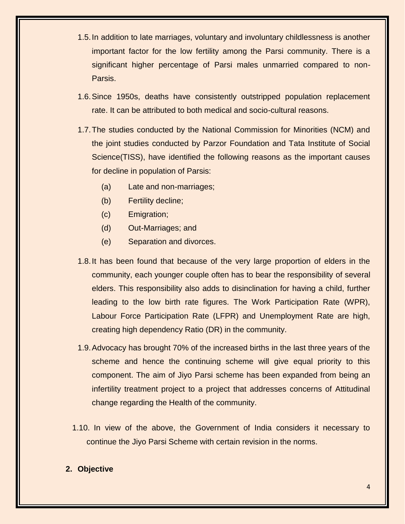- 1.5.In addition to late marriages, voluntary and involuntary childlessness is another important factor for the low fertility among the Parsi community. There is a significant higher percentage of Parsi males unmarried compared to non-Parsis.
- 1.6.Since 1950s, deaths have consistently outstripped population replacement rate. It can be attributed to both medical and socio-cultural reasons.
- 1.7.The studies conducted by the National Commission for Minorities (NCM) and the joint studies conducted by Parzor Foundation and Tata Institute of Social Science(TISS), have identified the following reasons as the important causes for decline in population of Parsis:
	- (a) Late and non-marriages;
	- (b) Fertility decline;
	- (c) Emigration;
	- (d) Out-Marriages; and
	- (e) Separation and divorces.
- 1.8.It has been found that because of the very large proportion of elders in the community, each younger couple often has to bear the responsibility of several elders. This responsibility also adds to disinclination for having a child, further leading to the low birth rate figures. The Work Participation Rate (WPR), Labour Force Participation Rate (LFPR) and Unemployment Rate are high, creating high dependency Ratio (DR) in the community.
- 1.9.Advocacy has brought 70% of the increased births in the last three years of the scheme and hence the continuing scheme will give equal priority to this component. The aim of Jiyo Parsi scheme has been expanded from being an infertility treatment project to a project that addresses concerns of Attitudinal change regarding the Health of the community.
- 1.10. In view of the above, the Government of India considers it necessary to continue the Jiyo Parsi Scheme with certain revision in the norms.

## **2. Objective**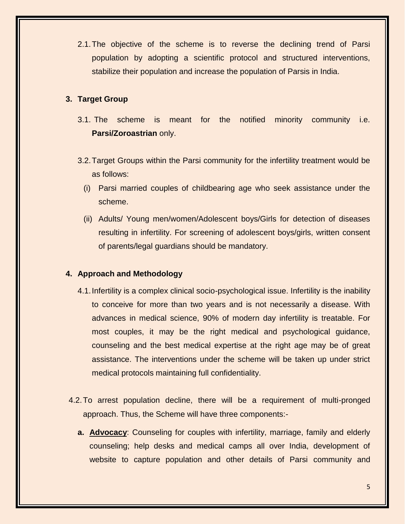2.1.The objective of the scheme is to reverse the declining trend of Parsi population by adopting a scientific protocol and structured interventions, stabilize their population and increase the population of Parsis in India.

### **3. Target Group**

- 3.1. The scheme is meant for the notified minority community i.e. **Parsi/Zoroastrian** only.
- 3.2.Target Groups within the Parsi community for the infertility treatment would be as follows:
	- (i) Parsi married couples of childbearing age who seek assistance under the scheme.
	- (ii) Adults/ Young men/women/Adolescent boys/Girls for detection of diseases resulting in infertility. For screening of adolescent boys/girls, written consent of parents/legal guardians should be mandatory.

#### **4. Approach and Methodology**

- 4.1.Infertility is a complex clinical socio-psychological issue. Infertility is the inability to conceive for more than two years and is not necessarily a disease. With advances in medical science, 90% of modern day infertility is treatable. For most couples, it may be the right medical and psychological guidance, counseling and the best medical expertise at the right age may be of great assistance. The interventions under the scheme will be taken up under strict medical protocols maintaining full confidentiality.
- 4.2.To arrest population decline, there will be a requirement of multi-pronged approach. Thus, the Scheme will have three components:
	- **a. Advocacy**: Counseling for couples with infertility, marriage, family and elderly counseling; help desks and medical camps all over India, development of website to capture population and other details of Parsi community and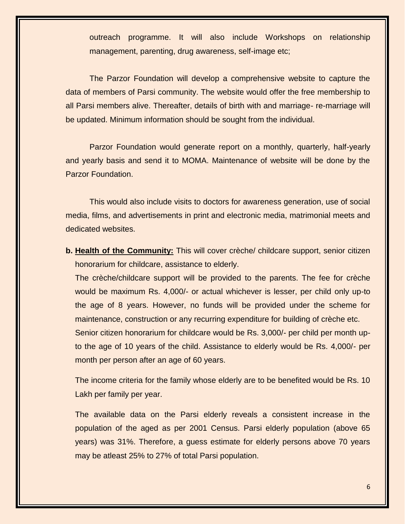outreach programme. It will also include Workshops on relationship management, parenting, drug awareness, self-image etc;

The Parzor Foundation will develop a comprehensive website to capture the data of members of Parsi community. The website would offer the free membership to all Parsi members alive. Thereafter, details of birth with and marriage- re-marriage will be updated. Minimum information should be sought from the individual.

Parzor Foundation would generate report on a monthly, quarterly, half-yearly and yearly basis and send it to MOMA. Maintenance of website will be done by the Parzor Foundation.

This would also include visits to doctors for awareness generation, use of social media, films, and advertisements in print and electronic media, matrimonial meets and dedicated websites.

**b. Health of the Community:** This will cover crèche/ childcare support, senior citizen honorarium for childcare, assistance to elderly.

The crèche/childcare support will be provided to the parents. The fee for crèche would be maximum Rs. 4,000/- or actual whichever is lesser, per child only up-to the age of 8 years. However, no funds will be provided under the scheme for maintenance, construction or any recurring expenditure for building of crèche etc. Senior citizen honorarium for childcare would be Rs. 3,000/- per child per month upto the age of 10 years of the child. Assistance to elderly would be Rs. 4,000/- per month per person after an age of 60 years.

The income criteria for the family whose elderly are to be benefited would be Rs. 10 Lakh per family per year.

The available data on the Parsi elderly reveals a consistent increase in the population of the aged as per 2001 Census. Parsi elderly population (above 65 years) was 31%. Therefore, a guess estimate for elderly persons above 70 years may be atleast 25% to 27% of total Parsi population.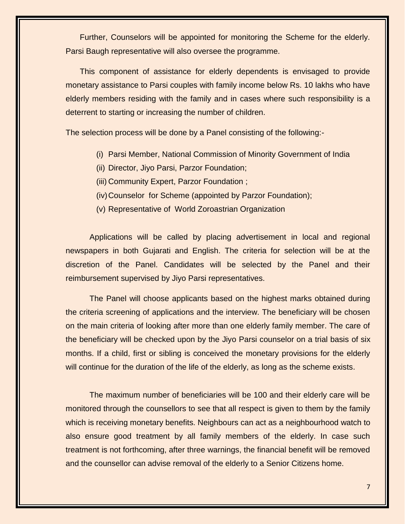Further, Counselors will be appointed for monitoring the Scheme for the elderly. Parsi Baugh representative will also oversee the programme.

This component of assistance for elderly dependents is envisaged to provide monetary assistance to Parsi couples with family income below Rs. 10 lakhs who have elderly members residing with the family and in cases where such responsibility is a deterrent to starting or increasing the number of children.

The selection process will be done by a Panel consisting of the following:-

- (i) Parsi Member, National Commission of Minority Government of India
- (ii) Director, Jiyo Parsi, Parzor Foundation;
- (iii) Community Expert, Parzor Foundation ;
- (iv)Counselor for Scheme (appointed by Parzor Foundation);
- (v) Representative of World Zoroastrian Organization

Applications will be called by placing advertisement in local and regional newspapers in both Gujarati and English. The criteria for selection will be at the discretion of the Panel. Candidates will be selected by the Panel and their reimbursement supervised by Jiyo Parsi representatives.

The Panel will choose applicants based on the highest marks obtained during the criteria screening of applications and the interview. The beneficiary will be chosen on the main criteria of looking after more than one elderly family member. The care of the beneficiary will be checked upon by the Jiyo Parsi counselor on a trial basis of six months. If a child, first or sibling is conceived the monetary provisions for the elderly will continue for the duration of the life of the elderly, as long as the scheme exists.

The maximum number of beneficiaries will be 100 and their elderly care will be monitored through the counsellors to see that all respect is given to them by the family which is receiving monetary benefits. Neighbours can act as a neighbourhood watch to also ensure good treatment by all family members of the elderly. In case such treatment is not forthcoming, after three warnings, the financial benefit will be removed and the counsellor can advise removal of the elderly to a Senior Citizens home.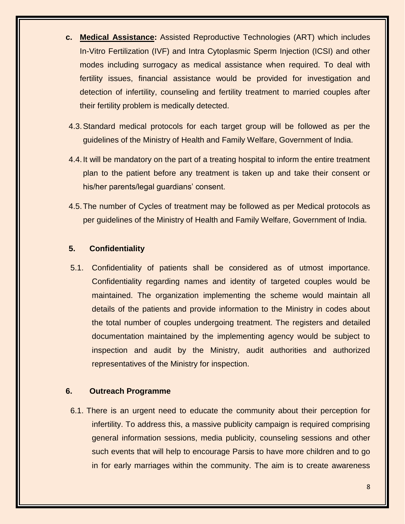- **c. Medical Assistance:** Assisted Reproductive Technologies (ART) which includes In-Vitro Fertilization (IVF) and Intra Cytoplasmic Sperm Injection (ICSI) and other modes including surrogacy as medical assistance when required. To deal with fertility issues, financial assistance would be provided for investigation and detection of infertility, counseling and fertility treatment to married couples after their fertility problem is medically detected.
- 4.3.Standard medical protocols for each target group will be followed as per the guidelines of the Ministry of Health and Family Welfare, Government of India.
- 4.4.It will be mandatory on the part of a treating hospital to inform the entire treatment plan to the patient before any treatment is taken up and take their consent or his/her parents/legal guardians' consent.
- 4.5.The number of Cycles of treatment may be followed as per Medical protocols as per guidelines of the Ministry of Health and Family Welfare, Government of India.

## **5. Confidentiality**

5.1. Confidentiality of patients shall be considered as of utmost importance. Confidentiality regarding names and identity of targeted couples would be maintained. The organization implementing the scheme would maintain all details of the patients and provide information to the Ministry in codes about the total number of couples undergoing treatment. The registers and detailed documentation maintained by the implementing agency would be subject to inspection and audit by the Ministry, audit authorities and authorized representatives of the Ministry for inspection.

### **6. Outreach Programme**

6.1. There is an urgent need to educate the community about their perception for infertility. To address this, a massive publicity campaign is required comprising general information sessions, media publicity, counseling sessions and other such events that will help to encourage Parsis to have more children and to go in for early marriages within the community. The aim is to create awareness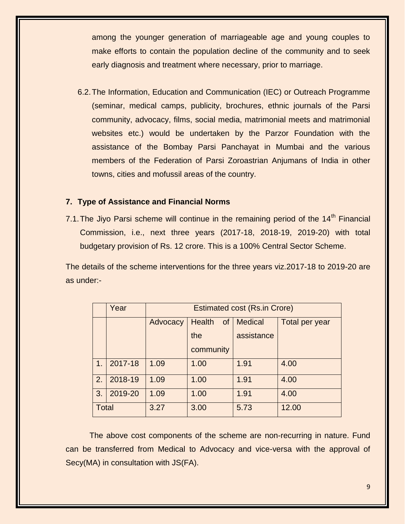among the younger generation of marriageable age and young couples to make efforts to contain the population decline of the community and to seek early diagnosis and treatment where necessary, prior to marriage.

6.2.The Information, Education and Communication (IEC) or Outreach Programme (seminar, medical camps, publicity, brochures, ethnic journals of the Parsi community, advocacy, films, social media, matrimonial meets and matrimonial websites etc.) would be undertaken by the Parzor Foundation with the assistance of the Bombay Parsi Panchayat in Mumbai and the various members of the Federation of Parsi Zoroastrian Anjumans of India in other towns, cities and mofussil areas of the country.

#### **7. Type of Assistance and Financial Norms**

7.1. The Jiyo Parsi scheme will continue in the remaining period of the 14<sup>th</sup> Financial Commission, i.e., next three years (2017-18, 2018-19, 2019-20) with total budgetary provision of Rs. 12 crore. This is a 100% Central Sector Scheme.

The details of the scheme interventions for the three years viz.2017-18 to 2019-20 are as under:-

|              | Year    | <b>Estimated cost (Rs.in Crore)</b> |                                |                |                |
|--------------|---------|-------------------------------------|--------------------------------|----------------|----------------|
|              |         | Advocacy                            | <b>Health</b><br><sub>of</sub> | <b>Medical</b> | Total per year |
|              |         |                                     | the                            | assistance     |                |
|              |         |                                     | community                      |                |                |
| 1.           | 2017-18 | 1.09                                | 1.00                           | 1.91           | 4.00           |
| 2.           | 2018-19 | 1.09                                | 1.00                           | 1.91           | 4.00           |
| 3.           | 2019-20 | 1.09                                | 1.00                           | 1.91           | 4.00           |
| <b>Total</b> |         | 3.27                                | 3.00                           | 5.73           | 12.00          |

The above cost components of the scheme are non-recurring in nature. Fund can be transferred from Medical to Advocacy and vice-versa with the approval of Secy(MA) in consultation with JS(FA).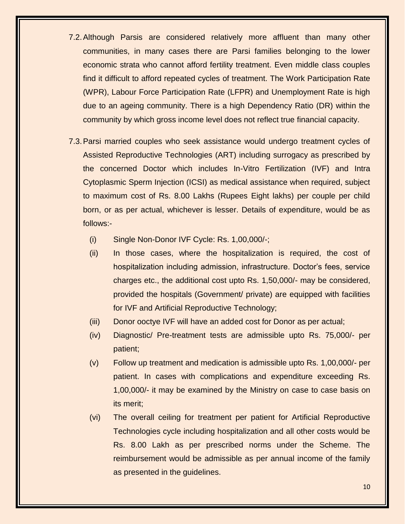- 7.2.Although Parsis are considered relatively more affluent than many other communities, in many cases there are Parsi families belonging to the lower economic strata who cannot afford fertility treatment. Even middle class couples find it difficult to afford repeated cycles of treatment. The Work Participation Rate (WPR), Labour Force Participation Rate (LFPR) and Unemployment Rate is high due to an ageing community. There is a high Dependency Ratio (DR) within the community by which gross income level does not reflect true financial capacity.
- 7.3.Parsi married couples who seek assistance would undergo treatment cycles of Assisted Reproductive Technologies (ART) including surrogacy as prescribed by the concerned Doctor which includes In-Vitro Fertilization (IVF) and Intra Cytoplasmic Sperm Injection (ICSI) as medical assistance when required, subject to maximum cost of Rs. 8.00 Lakhs (Rupees Eight lakhs) per couple per child born, or as per actual, whichever is lesser. Details of expenditure, would be as follows:-
	- (i) Single Non-Donor IVF Cycle: Rs. 1,00,000/-;
	- (ii) In those cases, where the hospitalization is required, the cost of hospitalization including admission, infrastructure. Doctor's fees, service charges etc., the additional cost upto Rs. 1,50,000/- may be considered, provided the hospitals (Government/ private) are equipped with facilities for IVF and Artificial Reproductive Technology;
	- (iii) Donor ooctye IVF will have an added cost for Donor as per actual;
	- (iv) Diagnostic/ Pre-treatment tests are admissible upto Rs. 75,000/- per patient;
	- (v) Follow up treatment and medication is admissible upto Rs. 1,00,000/- per patient. In cases with complications and expenditure exceeding Rs. 1,00,000/- it may be examined by the Ministry on case to case basis on its merit;
	- (vi) The overall ceiling for treatment per patient for Artificial Reproductive Technologies cycle including hospitalization and all other costs would be Rs. 8.00 Lakh as per prescribed norms under the Scheme. The reimbursement would be admissible as per annual income of the family as presented in the guidelines.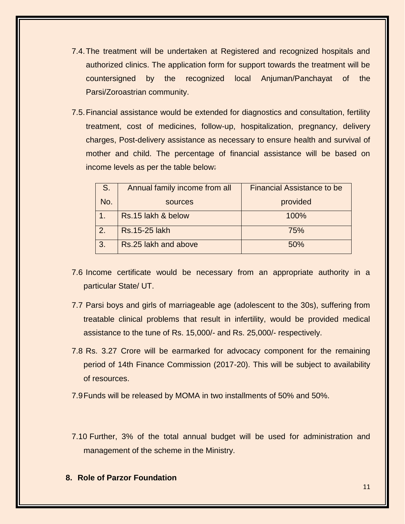- 7.4.The treatment will be undertaken at Registered and recognized hospitals and authorized clinics. The application form for support towards the treatment will be countersigned by the recognized local Anjuman/Panchayat of the Parsi/Zoroastrian community.
- 7.5.Financial assistance would be extended for diagnostics and consultation, fertility treatment, cost of medicines, follow-up, hospitalization, pregnancy, delivery charges, Post-delivery assistance as necessary to ensure health and survival of mother and child. The percentage of financial assistance will be based on income levels as per the table below:

| $\mathsf{S}$ . | Annual family income from all | <b>Financial Assistance to be</b> |
|----------------|-------------------------------|-----------------------------------|
| No.            | sources                       | provided                          |
|                | Rs.15 lakh & below            | 100%                              |
| 2.             | <b>Rs.15-25 lakh</b>          | 75%                               |
| 3.             | Rs.25 lakh and above          | 50%                               |

- 7.6 Income certificate would be necessary from an appropriate authority in a particular State/ UT.
- 7.7 Parsi boys and girls of marriageable age (adolescent to the 30s), suffering from treatable clinical problems that result in infertility, would be provided medical assistance to the tune of Rs. 15,000/- and Rs. 25,000/- respectively.
- 7.8 Rs. 3.27 Crore will be earmarked for advocacy component for the remaining period of 14th Finance Commission (2017-20). This will be subject to availability of resources.
- 7.9Funds will be released by MOMA in two installments of 50% and 50%.
- 7.10 Further, 3% of the total annual budget will be used for administration and management of the scheme in the Ministry.
- **8. Role of Parzor Foundation**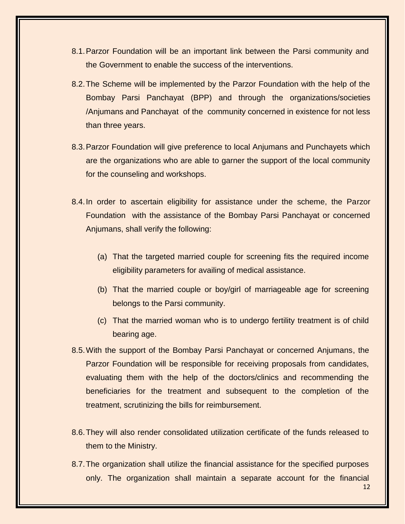- 8.1.Parzor Foundation will be an important link between the Parsi community and the Government to enable the success of the interventions.
- 8.2.The Scheme will be implemented by the Parzor Foundation with the help of the Bombay Parsi Panchayat (BPP) and through the organizations/societies /Anjumans and Panchayat of the community concerned in existence for not less than three years.
- 8.3.Parzor Foundation will give preference to local Anjumans and Punchayets which are the organizations who are able to garner the support of the local community for the counseling and workshops.
- 8.4.In order to ascertain eligibility for assistance under the scheme, the Parzor Foundation with the assistance of the Bombay Parsi Panchayat or concerned Anjumans, shall verify the following:
	- (a) That the targeted married couple for screening fits the required income eligibility parameters for availing of medical assistance.
	- (b) That the married couple or boy/girl of marriageable age for screening belongs to the Parsi community.
	- (c) That the married woman who is to undergo fertility treatment is of child bearing age.
- 8.5.With the support of the Bombay Parsi Panchayat or concerned Anjumans, the Parzor Foundation will be responsible for receiving proposals from candidates, evaluating them with the help of the doctors/clinics and recommending the beneficiaries for the treatment and subsequent to the completion of the treatment, scrutinizing the bills for reimbursement.
- 8.6.They will also render consolidated utilization certificate of the funds released to them to the Ministry.
- 12 8.7.The organization shall utilize the financial assistance for the specified purposes only. The organization shall maintain a separate account for the financial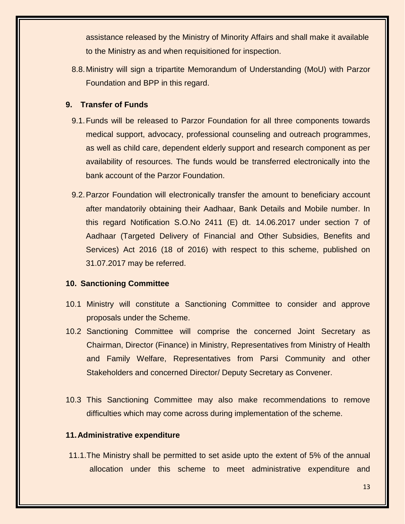assistance released by the Ministry of Minority Affairs and shall make it available to the Ministry as and when requisitioned for inspection.

8.8.Ministry will sign a tripartite Memorandum of Understanding (MoU) with Parzor Foundation and BPP in this regard.

#### **9. Transfer of Funds**

- 9.1.Funds will be released to Parzor Foundation for all three components towards medical support, advocacy, professional counseling and outreach programmes, as well as child care, dependent elderly support and research component as per availability of resources. The funds would be transferred electronically into the bank account of the Parzor Foundation.
- 9.2.Parzor Foundation will electronically transfer the amount to beneficiary account after mandatorily obtaining their Aadhaar, Bank Details and Mobile number. In this regard Notification S.O.No 2411 (E) dt. 14.06.2017 under section 7 of Aadhaar (Targeted Delivery of Financial and Other Subsidies, Benefits and Services) Act 2016 (18 of 2016) with respect to this scheme, published on 31.07.2017 may be referred.

### **10. Sanctioning Committee**

- 10.1 Ministry will constitute a Sanctioning Committee to consider and approve proposals under the Scheme.
- 10.2 Sanctioning Committee will comprise the concerned Joint Secretary as Chairman, Director (Finance) in Ministry, Representatives from Ministry of Health and Family Welfare, Representatives from Parsi Community and other Stakeholders and concerned Director/ Deputy Secretary as Convener.
- 10.3 This Sanctioning Committee may also make recommendations to remove difficulties which may come across during implementation of the scheme.

### **11.Administrative expenditure**

11.1.The Ministry shall be permitted to set aside upto the extent of 5% of the annual allocation under this scheme to meet administrative expenditure and